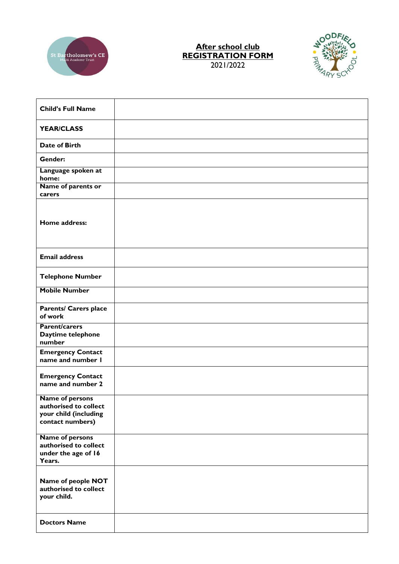

## **After school club REGISTRATION FORM** 2021/2022



| <b>Child's Full Name</b>                                                              |  |
|---------------------------------------------------------------------------------------|--|
| <b>YEAR/CLASS</b>                                                                     |  |
| Date of Birth                                                                         |  |
| Gender:                                                                               |  |
| Language spoken at<br>home:                                                           |  |
| Name of parents or<br>carers                                                          |  |
| Home address:                                                                         |  |
| <b>Email address</b>                                                                  |  |
| <b>Telephone Number</b>                                                               |  |
| <b>Mobile Number</b>                                                                  |  |
| <b>Parents/ Carers place</b><br>of work                                               |  |
| <b>Parent/carers</b><br>Daytime telephone<br>number                                   |  |
| <b>Emergency Contact</b><br>name and number I                                         |  |
| <b>Emergency Contact</b><br>name and number 2                                         |  |
| Name of persons<br>authorised to collect<br>your child (including<br>contact numbers) |  |
| <b>Name of persons</b><br>authorised to collect<br>under the age of 16<br>Years.      |  |
| Name of people NOT<br>authorised to collect<br>your child.                            |  |
| <b>Doctors Name</b>                                                                   |  |